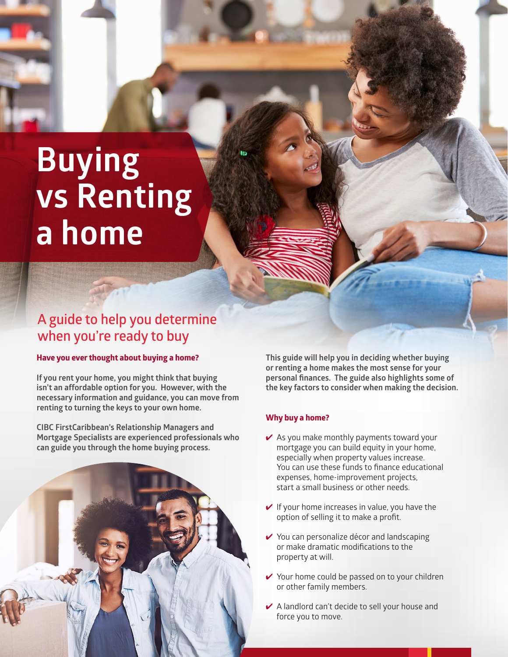# **Buying vs Renting a home**

# **A guide to help you determine when you're ready to buy**

#### **Have you ever thought about buying a home?**

**If you rent your home, you might think that buying isn't an affordable option for you. However, with the necessary information and guidance, you can move from renting to turning the keys to your own home.** 

**CIBC FirstCaribbean's Relationship Managers and Mortgage Specialists are experienced professionals who can guide you through the home buying process.** 



**This guide will help you in deciding whether buying or renting a home makes the most sense for your personal finances. The guide also highlights some of the key factors to consider when making the decision.**

# **Why buy a home?**

- $\vee$  As you make monthly payments toward your mortgage you can build equity in your home, especially when property values increase. You can use these funds to finance educational expenses, home-improvement projects, start a small business or other needs.
- $\vee$  If your home increases in value, you have the option of selling it to make a profit.
- ✔ You can personalize décor and landscaping or make dramatic modifications to the property at will.
- ✔ Your home could be passed on to your children or other family members.
- ✔ A landlord can't decide to sell your house and force you to move.